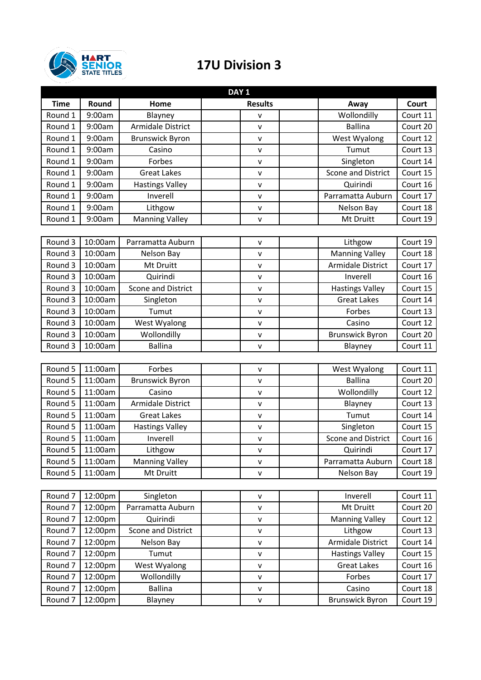

## **17U Division 3**

| DAY <sub>1</sub>   |         |                           |                |                          |          |  |  |
|--------------------|---------|---------------------------|----------------|--------------------------|----------|--|--|
| <b>Time</b>        | Round   | Home                      | <b>Results</b> | Away                     | Court    |  |  |
| Round 1            | 9:00am  | Blayney                   | $\mathsf{V}$   | Wollondilly              | Court 11 |  |  |
| Round 1            | 9:00am  | Armidale District         | $\mathsf{v}$   | <b>Ballina</b>           | Court 20 |  |  |
| Round 1            | 9:00am  | <b>Brunswick Byron</b>    | v              | West Wyalong             | Court 12 |  |  |
| Round 1            | 9:00am  | Casino                    | $\mathsf{v}$   | Tumut                    | Court 13 |  |  |
| Round 1            | 9:00am  | Forbes                    | $\mathsf{v}$   | Singleton                | Court 14 |  |  |
| Round 1            | 9:00am  | <b>Great Lakes</b>        | $\mathsf{v}$   | Scone and District       | Court 15 |  |  |
| Round 1            | 9:00am  | <b>Hastings Valley</b>    | $\mathsf{v}$   | Quirindi                 | Court 16 |  |  |
| Round 1            | 9:00am  | Inverell                  | v              | Parramatta Auburn        | Court 17 |  |  |
| Round 1            | 9:00am  | Lithgow                   | $\mathsf{v}$   | Nelson Bay               | Court 18 |  |  |
| Round 1            | 9:00am  | <b>Manning Valley</b>     | $\mathsf{v}$   | Mt Druitt                | Court 19 |  |  |
|                    |         |                           |                |                          |          |  |  |
| Round 3            | 10:00am | Parramatta Auburn         | $\mathsf{v}$   | Lithgow                  | Court 19 |  |  |
| Round 3            | 10:00am | Nelson Bay                | V              | <b>Manning Valley</b>    | Court 18 |  |  |
| Round 3            | 10:00am | Mt Druitt                 | $\mathsf{v}$   | <b>Armidale District</b> | Court 17 |  |  |
| Round 3            | 10:00am | Quirindi                  | $\mathsf{v}$   | Inverell                 | Court 16 |  |  |
| Round 3            | 10:00am | <b>Scone and District</b> | V              | <b>Hastings Valley</b>   | Court 15 |  |  |
| Round 3            | 10:00am | Singleton                 | $\mathsf{v}$   | <b>Great Lakes</b>       | Court 14 |  |  |
| Round 3            | 10:00am | Tumut                     | $\mathsf{V}$   | Forbes                   | Court 13 |  |  |
| Round 3            | 10:00am | West Wyalong              | $\mathsf{v}$   | Casino                   | Court 12 |  |  |
| Round 3            | 10:00am | Wollondilly               | $\mathsf{V}$   | <b>Brunswick Byron</b>   | Court 20 |  |  |
| Round 3            | 10:00am | <b>Ballina</b>            | $\mathbf v$    | Blayney                  | Court 11 |  |  |
|                    |         |                           |                |                          |          |  |  |
| Round 5            | 11:00am | Forbes                    | $\mathsf{v}$   | West Wyalong             | Court 11 |  |  |
| Round 5            | 11:00am | <b>Brunswick Byron</b>    | v              | <b>Ballina</b>           | Court 20 |  |  |
| Round 5            | 11:00am | Casino                    | $\mathsf{v}$   | Wollondilly              | Court 12 |  |  |
| Round 5            | 11:00am | Armidale District         | $\mathsf{V}$   | Blayney                  | Court 13 |  |  |
| Round 5            | 11:00am | <b>Great Lakes</b>        | $\mathsf{v}$   | Tumut                    | Court 14 |  |  |
| Round 5            | 11:00am | <b>Hastings Valley</b>    | $\mathsf{v}$   | Singleton                | Court 15 |  |  |
| Round 5            | 11:00am | Inverell                  | V              | Scone and District       | Court 16 |  |  |
| Round 5            | 11:00am | Lithgow                   | ۷              | Quirindi                 | Court 17 |  |  |
| Round 5            | 11:00am | <b>Manning Valley</b>     | v              | Parramatta Auburn        | Court 18 |  |  |
| Round 5            | 11:00am | Mt Druitt                 | $\mathsf{V}$   | Nelson Bay               | Court 19 |  |  |
|                    |         |                           |                |                          |          |  |  |
| Round <sub>7</sub> | 12:00pm | Singleton                 | $\mathsf{v}$   | Inverell                 | Court 11 |  |  |
| Round <sub>7</sub> | 12:00pm | Parramatta Auburn         | v              | Mt Druitt                | Court 20 |  |  |
| Round <sub>7</sub> | 12:00pm | Quirindi                  | $\mathsf{V}$   | <b>Manning Valley</b>    | Court 12 |  |  |
| Round <sub>7</sub> | 12:00pm | Scone and District        | V              | Lithgow                  | Court 13 |  |  |
| Round <sub>7</sub> | 12:00pm | Nelson Bay                | $\mathsf{V}$   | Armidale District        | Court 14 |  |  |
| Round <sub>7</sub> | 12:00pm | Tumut                     | v              | <b>Hastings Valley</b>   | Court 15 |  |  |
| Round 7            | 12:00pm | West Wyalong              | $\mathsf{V}$   | <b>Great Lakes</b>       | Court 16 |  |  |
| Round 7            | 12:00pm | Wollondilly               | $\mathsf{V}$   | Forbes                   | Court 17 |  |  |
| Round <sub>7</sub> | 12:00pm | <b>Ballina</b>            | v              | Casino                   | Court 18 |  |  |
| Round <sub>7</sub> | 12:00pm | Blayney                   | $\mathsf{V}$   | <b>Brunswick Byron</b>   | Court 19 |  |  |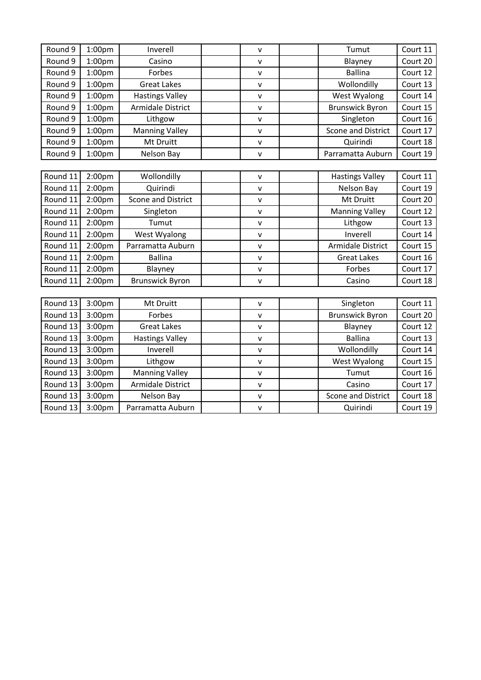| Round 9  | 1:00 <sub>pm</sub> | Inverell                 | $\mathsf{v}$ | Court 11<br>Tumut                     |  |
|----------|--------------------|--------------------------|--------------|---------------------------------------|--|
| Round 9  | 1:00 <sub>pm</sub> | Casino                   | $\mathsf{v}$ | Court 20<br>Blayney                   |  |
| Round 9  | 1:00 <sub>pm</sub> | Forbes                   | $\mathsf{V}$ | <b>Ballina</b><br>Court 12            |  |
| Round 9  | 1:00pm             | <b>Great Lakes</b>       | $\mathsf{v}$ | Wollondilly<br>Court 13               |  |
| Round 9  | 1:00 <sub>pm</sub> | <b>Hastings Valley</b>   | $\mathsf{v}$ | West Wyalong<br>Court 14              |  |
| Round 9  | 1:00 <sub>pm</sub> | Armidale District        | $\mathsf{v}$ | <b>Brunswick Byron</b><br>Court 15    |  |
| Round 9  | 1:00pm             | Lithgow                  | $\mathsf{V}$ | Court 16<br>Singleton                 |  |
| Round 9  | 1:00 <sub>pm</sub> | <b>Manning Valley</b>    | $\mathsf{v}$ | <b>Scone and District</b><br>Court 17 |  |
| Round 9  | 1:00 <sub>pm</sub> | Mt Druitt                | $\mathsf{V}$ | Quirindi<br>Court 18                  |  |
| Round 9  | 1:00 <sub>pm</sub> | Nelson Bay               | $\mathsf{v}$ | Court 19<br>Parramatta Auburn         |  |
|          |                    |                          |              |                                       |  |
| Round 11 | 2:00 <sub>pm</sub> | Wollondilly              | $\mathsf{v}$ | <b>Hastings Valley</b><br>Court 11    |  |
| Round 11 | 2:00pm             | Quirindi                 | $\mathsf{v}$ | Court 19<br>Nelson Bay                |  |
| Round 11 | 2:00 <sub>pm</sub> | Scone and District       | $\mathsf{v}$ | Court 20<br>Mt Druitt                 |  |
| Round 11 | 2:00 <sub>pm</sub> | Singleton                | $\mathsf{V}$ | Court 12<br><b>Manning Valley</b>     |  |
| Round 11 | 2:00pm             | Tumut                    | $\mathsf{v}$ | Court 13<br>Lithgow                   |  |
| Round 11 | 2:00 <sub>pm</sub> | West Wyalong             | $\mathsf{v}$ | Inverell<br>Court 14                  |  |
| Round 11 | 2:00 <sub>pm</sub> | Parramatta Auburn        | $\mathsf{V}$ | <b>Armidale District</b><br>Court 15  |  |
| Round 11 | 2:00pm             | <b>Ballina</b>           | $\mathsf{V}$ | Court 16<br><b>Great Lakes</b>        |  |
| Round 11 | 2:00 <sub>pm</sub> | Blayney                  | $\mathsf{v}$ | Court 17<br>Forbes                    |  |
| Round 11 | 2:00pm             | <b>Brunswick Byron</b>   | $\mathsf{V}$ | Court 18<br>Casino                    |  |
|          |                    |                          |              |                                       |  |
| Round 13 | 3:00pm             | Mt Druitt                | $\mathsf{v}$ | Singleton<br>Court 11                 |  |
| Round 13 | 3:00 <sub>pm</sub> | Forbes                   | $\mathsf{V}$ | Court 20<br><b>Brunswick Byron</b>    |  |
| Round 13 | 3:00pm             | <b>Great Lakes</b>       | $\mathsf{v}$ | Court 12<br>Blayney                   |  |
| Round 13 | 3:00pm             | <b>Hastings Valley</b>   | $\mathsf{v}$ | <b>Ballina</b><br>Court 13            |  |
| Round 13 | 3:00pm             | Inverell                 | $\mathsf{V}$ | Wollondilly<br>Court 14               |  |
| Round 13 | 3:00pm             | Lithgow                  | $\mathsf{v}$ | West Wyalong<br>Court 15              |  |
| Round 13 | 3:00pm             | <b>Manning Valley</b>    | $\mathsf{v}$ | Court 16<br>Tumut                     |  |
| Round 13 | 3:00pm             | <b>Armidale District</b> | $\mathsf{v}$ | Court 17<br>Casino                    |  |
| Round 13 | 3:00pm             | Nelson Bay               | $\mathsf{V}$ | Scone and District<br>Court 18        |  |
| Round 13 | 3:00pm             | Parramatta Auburn        | $\mathsf{v}$ | Quirindi<br>Court 19                  |  |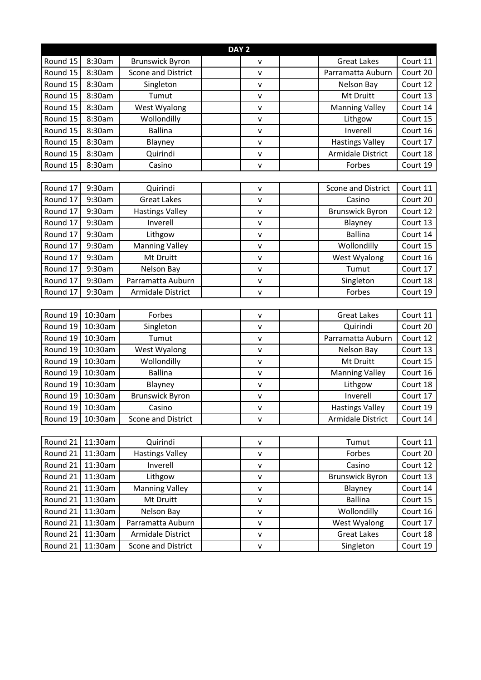| DAY <sub>2</sub> |         |                           |  |              |  |                        |          |
|------------------|---------|---------------------------|--|--------------|--|------------------------|----------|
| Round 15         | 8:30am  | <b>Brunswick Byron</b>    |  | v            |  | <b>Great Lakes</b>     | Court 11 |
| Round 15         | 8:30am  | <b>Scone and District</b> |  | $\mathsf{v}$ |  | Parramatta Auburn      | Court 20 |
| Round 15         | 8:30am  | Singleton                 |  | v            |  | Nelson Bay             | Court 12 |
| Round 15         | 8:30am  | Tumut                     |  | v            |  | Mt Druitt              | Court 13 |
| Round 15         | 8:30am  | West Wyalong              |  | $\mathsf{v}$ |  | <b>Manning Valley</b>  | Court 14 |
| Round 15         | 8:30am  | Wollondilly               |  | v            |  | Lithgow                | Court 15 |
| Round 15         | 8:30am  | <b>Ballina</b>            |  | $\mathsf{V}$ |  | Inverell               | Court 16 |
| Round 15         | 8:30am  | Blayney                   |  | $\mathsf{v}$ |  | <b>Hastings Valley</b> | Court 17 |
| Round 15         | 8:30am  | Quirindi                  |  | v            |  | Armidale District      | Court 18 |
| Round 15         | 8:30am  | Casino                    |  | $\mathsf{v}$ |  | Forbes                 | Court 19 |
|                  |         |                           |  |              |  |                        |          |
| Round 17         | 9:30am  | Quirindi                  |  | $\mathsf{v}$ |  | Scone and District     | Court 11 |
| Round 17         | 9:30am  | <b>Great Lakes</b>        |  | v            |  | Casino                 | Court 20 |
| Round 17         | 9:30am  | <b>Hastings Valley</b>    |  | v            |  | <b>Brunswick Byron</b> | Court 12 |
| Round 17         | 9:30am  | Inverell                  |  | $\mathsf{v}$ |  | Blayney                | Court 13 |
| Round 17         | 9:30am  | Lithgow                   |  | $\mathsf{v}$ |  | <b>Ballina</b>         | Court 14 |
| Round 17         | 9:30am  | <b>Manning Valley</b>     |  | $\mathsf{V}$ |  | Wollondilly            | Court 15 |
| Round 17         | 9:30am  | Mt Druitt                 |  | $\mathsf{V}$ |  | West Wyalong           | Court 16 |
| Round 17         | 9:30am  | Nelson Bay                |  | v            |  | Tumut                  | Court 17 |
| Round 17         | 9:30am  | Parramatta Auburn         |  | v            |  | Singleton              | Court 18 |
| Round 17         | 9:30am  | Armidale District         |  | v            |  | Forbes                 | Court 19 |
|                  |         |                           |  |              |  |                        |          |
| Round 19         | 10:30am | Forbes                    |  | $\mathsf{v}$ |  | <b>Great Lakes</b>     | Court 11 |
| Round 19         | 10:30am | Singleton                 |  | v            |  | Quirindi               | Court 20 |
| Round 19         | 10:30am | Tumut                     |  | v            |  | Parramatta Auburn      | Court 12 |
| Round 19         | 10:30am | West Wyalong              |  | $\mathsf{v}$ |  | Nelson Bay             | Court 13 |
| Round 19         | 10:30am | Wollondilly               |  | v            |  | Mt Druitt              | Court 15 |
| Round 19         | 10:30am | <b>Ballina</b>            |  | $\mathsf{v}$ |  | <b>Manning Valley</b>  | Court 16 |
| Round 19         | 10:30am | Blayney                   |  | v            |  | Lithgow                | Court 18 |
| Round 19         | 10:30am | <b>Brunswick Byron</b>    |  | v            |  | Inverell               | Court 17 |
| Round 19         | 10:30am | Casino                    |  | v            |  | <b>Hastings Valley</b> | Court 19 |
| Round 19         | 10:30am | Scone and District        |  | v            |  | Armidale District      | Court 14 |
|                  |         |                           |  |              |  |                        |          |
| Round 21         | 11:30am | Quirindi                  |  | v            |  | Tumut                  | Court 11 |
| Round 21         | 11:30am | <b>Hastings Valley</b>    |  | $\mathsf{v}$ |  | Forbes                 | Court 20 |
| Round 21         | 11:30am | Inverell                  |  | $\mathsf{v}$ |  | Casino                 | Court 12 |
| Round 21         | 11:30am | Lithgow                   |  | $\mathsf{v}$ |  | <b>Brunswick Byron</b> | Court 13 |
| Round 21         | 11:30am | <b>Manning Valley</b>     |  | $\mathsf{V}$ |  | Blayney                | Court 14 |
| Round 21         | 11:30am | Mt Druitt                 |  | V            |  | <b>Ballina</b>         | Court 15 |
| Round 21         | 11:30am | Nelson Bay                |  | v            |  | Wollondilly            | Court 16 |
| Round 21         | 11:30am | Parramatta Auburn         |  | $\mathsf{v}$ |  | West Wyalong           | Court 17 |
| Round 21         | 11:30am | Armidale District         |  | $\mathsf{v}$ |  | <b>Great Lakes</b>     | Court 18 |
| Round 21         | 11:30am | Scone and District        |  | $\mathsf{V}$ |  | Singleton              | Court 19 |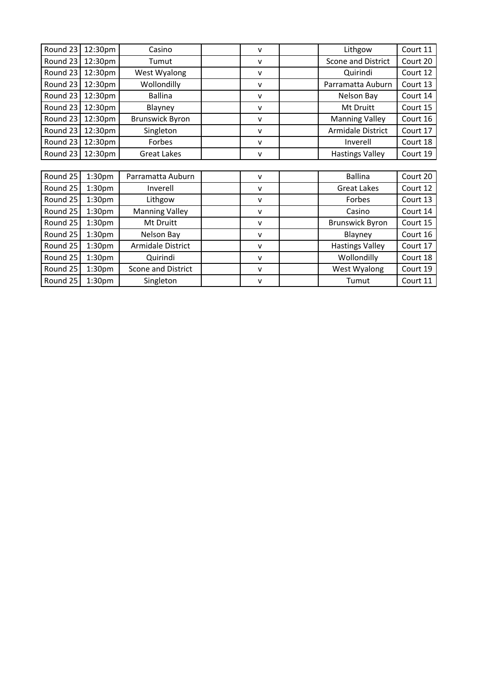| Round 23 | 12:30pm            | Casino                 | $\mathsf{v}$ | Lithgow                | Court 11 |
|----------|--------------------|------------------------|--------------|------------------------|----------|
| Round 23 | 12:30pm            | Tumut                  | v            | Scone and District     | Court 20 |
| Round 23 | 12:30pm            | West Wyalong           | v            | Quirindi               | Court 12 |
| Round 23 | 12:30pm            | Wollondilly            | $\mathsf{v}$ | Parramatta Auburn      | Court 13 |
| Round 23 | 12:30pm            | <b>Ballina</b>         | v            | Nelson Bay             | Court 14 |
| Round 23 | 12:30pm            | Blayney                | $\mathsf{v}$ | Mt Druitt              | Court 15 |
| Round 23 | 12:30pm            | <b>Brunswick Byron</b> | $\mathsf{v}$ | <b>Manning Valley</b>  | Court 16 |
| Round 23 | 12:30pm            | Singleton              | $\mathsf{v}$ | Armidale District      | Court 17 |
| Round 23 | 12:30pm            | Forbes                 | $\mathsf{v}$ | Inverell               | Court 18 |
| Round 23 | 12:30pm            | <b>Great Lakes</b>     | $\mathsf{v}$ | <b>Hastings Valley</b> | Court 19 |
|          |                    |                        |              |                        |          |
| Round 25 | 1:30 <sub>pm</sub> | Parramatta Auburn      | $\mathsf{v}$ | <b>Ballina</b>         | Court 20 |
| Round 25 | 1:30 <sub>pm</sub> | Inverell               | $\mathsf{v}$ | <b>Great Lakes</b>     | Court 12 |
| Round 25 | 1:30 <sub>pm</sub> | Lithgow                | v            | Forbes                 | Court 13 |
| Round 25 | 1:30 <sub>pm</sub> | <b>Manning Valley</b>  | $\mathsf{v}$ | Casino                 | Court 14 |
| Round 25 | 1:30 <sub>pm</sub> | Mt Druitt              | $\mathsf{v}$ | <b>Brunswick Byron</b> | Court 15 |
| Round 25 | 1:30 <sub>pm</sub> | Nelson Bay             | v            | Blayney                | Court 16 |
| Round 25 | 1:30 <sub>pm</sub> | Armidale District      | v            | <b>Hastings Valley</b> | Court 17 |
| Round 25 | 1:30 <sub>pm</sub> | Quirindi               | v            | Wollondilly            | Court 18 |
| Round 25 | 1:30 <sub>pm</sub> | Scone and District     | $\mathsf{V}$ | West Wyalong           | Court 19 |
| Round 25 | 1:30 <sub>pm</sub> | Singleton              | ٧            | Tumut                  | Court 11 |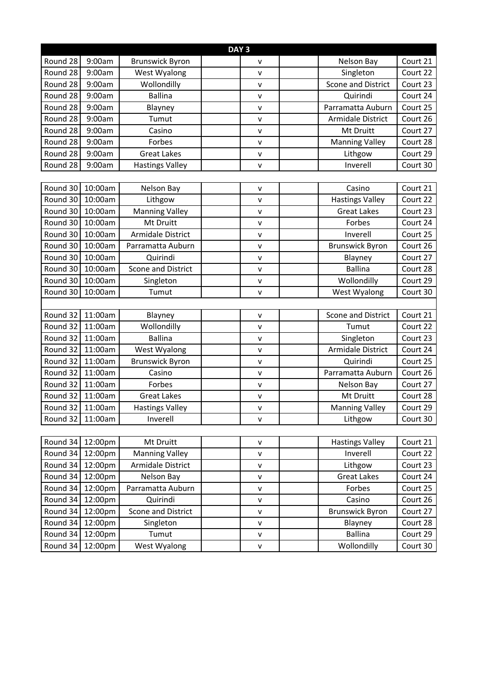| DAY <sub>3</sub> |         |                        |  |              |  |                        |          |
|------------------|---------|------------------------|--|--------------|--|------------------------|----------|
| Round 28         | 9:00am  | <b>Brunswick Byron</b> |  | v            |  | Nelson Bay             | Court 21 |
| Round 28         | 9:00am  | West Wyalong           |  | $\mathsf{V}$ |  | Singleton              | Court 22 |
| Round 28         | 9:00am  | Wollondilly            |  | v            |  | Scone and District     | Court 23 |
| Round 28         | 9:00am  | <b>Ballina</b>         |  | v            |  | Quirindi               | Court 24 |
| Round 28         | 9:00am  | Blayney                |  | $\mathsf{V}$ |  | Parramatta Auburn      | Court 25 |
| Round 28         | 9:00am  | Tumut                  |  | v            |  | Armidale District      | Court 26 |
| Round 28         | 9:00am  | Casino                 |  | $\mathsf{V}$ |  | Mt Druitt              | Court 27 |
| Round 28         | 9:00am  | Forbes                 |  | v            |  | <b>Manning Valley</b>  | Court 28 |
| Round 28         | 9:00am  | <b>Great Lakes</b>     |  | $\mathsf{v}$ |  | Lithgow                | Court 29 |
| Round 28         | 9:00am  | <b>Hastings Valley</b> |  | v            |  | Inverell               | Court 30 |
|                  |         |                        |  |              |  |                        |          |
| Round 30         | 10:00am | Nelson Bay             |  | v            |  | Casino                 | Court 21 |
| Round 30         | 10:00am | Lithgow                |  | v            |  | <b>Hastings Valley</b> | Court 22 |
| Round 30         | 10:00am | <b>Manning Valley</b>  |  | v            |  | <b>Great Lakes</b>     | Court 23 |
| Round 30         | 10:00am | Mt Druitt              |  | $\mathsf{V}$ |  | Forbes                 | Court 24 |
| Round 30         | 10:00am | Armidale District      |  | v            |  | Inverell               | Court 25 |
| Round 30         | 10:00am | Parramatta Auburn      |  | $\mathsf{v}$ |  | <b>Brunswick Byron</b> | Court 26 |
| Round 30         | 10:00am | Quirindi               |  | $\mathsf{V}$ |  | Blayney                | Court 27 |
| Round 30         | 10:00am | Scone and District     |  | v            |  | <b>Ballina</b>         | Court 28 |
| Round 30         | 10:00am | Singleton              |  | $\mathsf{V}$ |  | Wollondilly            | Court 29 |
| Round 30         | 10:00am | Tumut                  |  | v            |  | West Wyalong           | Court 30 |
|                  |         |                        |  |              |  |                        |          |
| Round 32         | 11:00am | Blayney                |  | $\mathsf{V}$ |  | Scone and District     | Court 21 |
| Round 32         | 11:00am | Wollondilly            |  | v            |  | Tumut                  | Court 22 |
| Round 32         | 11:00am | <b>Ballina</b>         |  | v            |  | Singleton              | Court 23 |
| Round 32         | 11:00am | West Wyalong           |  | $\mathsf{V}$ |  | Armidale District      | Court 24 |
| Round 32         | 11:00am | <b>Brunswick Byron</b> |  | $\mathsf{V}$ |  | Quirindi               | Court 25 |
| Round 32         | 11:00am | Casino                 |  | $\mathsf{V}$ |  | Parramatta Auburn      | Court 26 |
| Round 32         | 11:00am | Forbes                 |  | $\mathsf{V}$ |  | Nelson Bay             | Court 27 |
| Round 32         | 11:00am | <b>Great Lakes</b>     |  | $\mathsf{v}$ |  | Mt Druitt              | Court 28 |
| Round 32         | 11:00am | <b>Hastings Valley</b> |  | V            |  | <b>Manning Valley</b>  | Court 29 |
| Round 32         | 11:00am | Inverell               |  | v            |  | Lithgow                | Court 30 |
|                  |         |                        |  |              |  |                        |          |
| Round 34 12:00pm |         | Mt Druitt              |  | $\mathsf{v}$ |  | <b>Hastings Valley</b> | Court 21 |
| Round 34         | 12:00pm | <b>Manning Valley</b>  |  | v            |  | Inverell               | Court 22 |
| Round 34         | 12:00pm | Armidale District      |  | V            |  | Lithgow                | Court 23 |
| Round 34         | 12:00pm | Nelson Bay             |  | $\mathsf{V}$ |  | <b>Great Lakes</b>     | Court 24 |
| Round 34         | 12:00pm | Parramatta Auburn      |  | $\mathsf{V}$ |  | Forbes                 | Court 25 |
| Round 34         | 12:00pm | Quirindi               |  | $\mathsf{V}$ |  | Casino                 | Court 26 |
| Round 34         | 12:00pm | Scone and District     |  | v            |  | <b>Brunswick Byron</b> | Court 27 |
| Round 34         | 12:00pm | Singleton              |  | $\mathsf{V}$ |  | Blayney                | Court 28 |
| Round 34         | 12:00pm | Tumut                  |  | $\mathsf{V}$ |  | <b>Ballina</b>         | Court 29 |
| Round 34         | 12:00pm | West Wyalong           |  | V            |  | Wollondilly            | Court 30 |